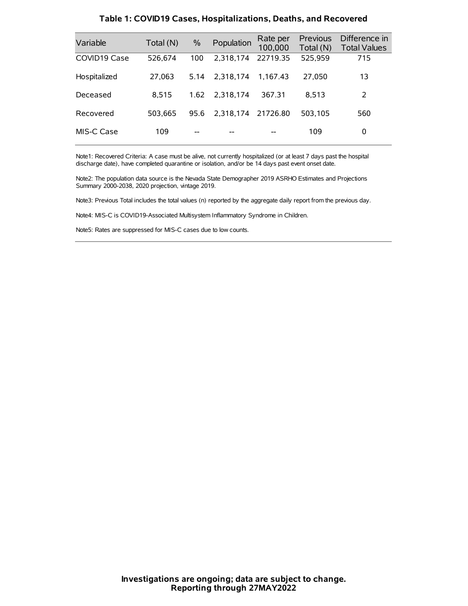| Variable     | Total (N) | $\frac{0}{0}$ | Population | Rate per<br>100,000 | <b>Previous</b><br>Total (N) | Difference in<br><b>Total Values</b> |
|--------------|-----------|---------------|------------|---------------------|------------------------------|--------------------------------------|
| COVID19 Case | 526.674   | 100           | 2.318.174  | 22719.35            | 525,959                      | 715                                  |
| Hospitalized | 27,063    | 5.14          | 2.318.174  | 1.167.43            | 27,050                       | 13                                   |
| Deceased     | 8.515     | 1.62          | 2.318.174  | 367.31              | 8.513                        | 2                                    |
| Recovered    | 503.665   | 95.6          | 2,318,174  | 21726.80            | 503.105                      | 560                                  |
| MIS-C Case   | 109       | --            |            |                     | 109                          | 0                                    |

#### **Table 1: COVID19 Cases, Hospitalizations, Deaths, and Recovered**

Note1: Recovered Criteria: A case must be alive, not currently hospitalized (or at least 7 days past the hospital discharge date), have completed quarantine or isolation, and/or be 14 days past event onset date.

Note2: The population data source is the Nevada State Demographer 2019 ASRHO Estimates and Projections Summary 2000-2038, 2020 projection, vintage 2019.

Note3: Previous Total includes the total values (n) reported by the aggregate daily report from the previous day.

Note4: MIS-C is COVID19-Associated Multisystem Inflammatory Syndrome in Children.

Note5: Rates are suppressed for MIS-C cases due to low counts.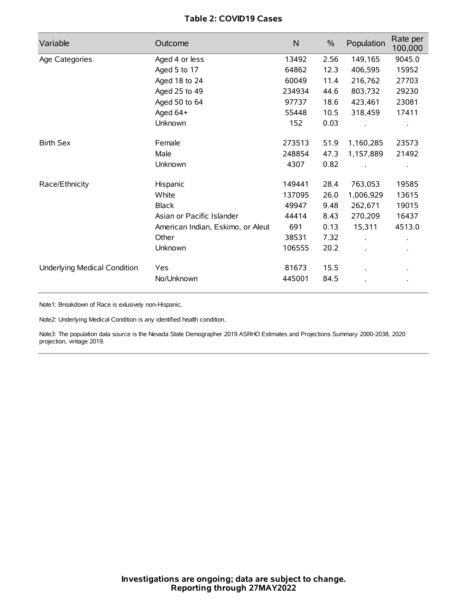# **Table 2: COVID19 Cases**

| Variable                     | Outcome                           | $\mathsf{N}$ | $\%$ | Population           | Rate per<br>100,000 |
|------------------------------|-----------------------------------|--------------|------|----------------------|---------------------|
| Age Categories               | Aged 4 or less                    | 13492        | 2.56 | 149,165              | 9045.0              |
|                              | Aged 5 to 17                      | 64862        | 12.3 | 406,595              | 15952               |
|                              | Aged 18 to 24                     | 60049        | 11.4 | 216,762              | 27703               |
|                              | Aged 25 to 49                     | 234934       | 44.6 | 803,732              | 29230               |
|                              | Aged 50 to 64                     | 97737        | 18.6 | 423,461              | 23081               |
|                              | Aged 64+                          | 55448        | 10.5 | 318,459              | 17411               |
|                              | Unknown                           | 152          | 0.03 |                      |                     |
| <b>Birth Sex</b>             | Female                            | 273513       | 51.9 | 1,160,285            | 23573               |
|                              | Male                              | 248854       | 47.3 | 1,157,889            | 21492               |
|                              | Unknown                           | 4307         | 0.82 |                      |                     |
| Race/Ethnicity               | Hispanic                          | 149441       | 28.4 | 763,053              | 19585               |
|                              | White                             | 137095       | 26.0 | 1,006,929            | 13615               |
|                              | <b>Black</b>                      | 49947        | 9.48 | 262,671              | 19015               |
|                              | Asian or Pacific Islander         | 44414        | 8.43 | 270,209              | 16437               |
|                              | American Indian, Eskimo, or Aleut | 691          | 0.13 | 15,311               | 4513.0              |
|                              | Other                             | 38531        | 7.32 | $\ddot{\phantom{a}}$ |                     |
|                              | Unknown                           | 106555       | 20.2 | ÷.                   |                     |
| Underlying Medical Condition | Yes                               | 81673        | 15.5 |                      |                     |
|                              | No/Unknown                        | 445001       | 84.5 |                      |                     |

Note1: Breakdown of Race is exlusively non-Hispanic.

Note2: Underlying Medical Condition is any identified health condition.

Note3: The population data source is the Nevada State Demographer 2019 ASRHO Estimates and Projections Summary 2000-2038, 2020 projection, vintage 2019.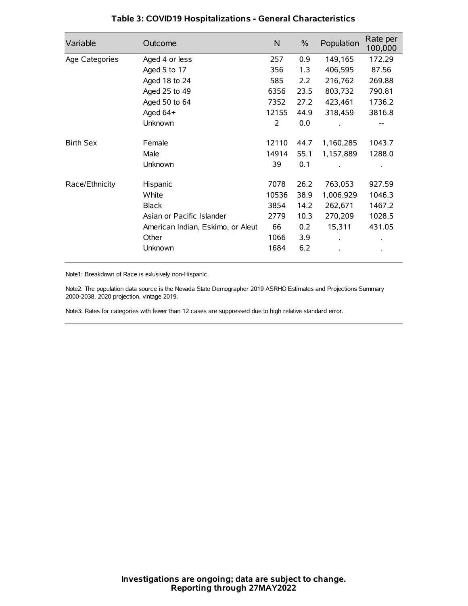| Variable         | Outcome                           | N     | $\%$ | Population | Rate per<br>100,000 |
|------------------|-----------------------------------|-------|------|------------|---------------------|
| Age Categories   | Aged 4 or less                    | 257   | 0.9  | 149,165    | 172.29              |
|                  | Aged 5 to 17                      | 356   | 1.3  | 406,595    | 87.56               |
|                  | Aged 18 to 24                     | 585   | 2.2  | 216,762    | 269.88              |
|                  | Aged 25 to 49                     | 6356  | 23.5 | 803,732    | 790.81              |
|                  | Aged 50 to 64                     | 7352  | 27.2 | 423,461    | 1736.2              |
|                  | Aged 64+                          | 12155 | 44.9 | 318,459    | 3816.8              |
|                  | Unknown                           | 2     | 0.0  |            |                     |
| <b>Birth Sex</b> | Female                            | 12110 | 44.7 | 1,160,285  | 1043.7              |
|                  | Male                              | 14914 | 55.1 | 1,157,889  | 1288.0              |
|                  | Unknown                           | 39    | 0.1  |            |                     |
| Race/Ethnicity   | Hispanic                          | 7078  | 26.2 | 763,053    | 927.59              |
|                  | White                             | 10536 | 38.9 | 1,006,929  | 1046.3              |
|                  | <b>Black</b>                      | 3854  | 14.2 | 262,671    | 1467.2              |
|                  | Asian or Pacific Islander         | 2779  | 10.3 | 270,209    | 1028.5              |
|                  | American Indian, Eskimo, or Aleut | 66    | 0.2  | 15,311     | 431.05              |
|                  | Other                             | 1066  | 3.9  |            |                     |
|                  | Unknown                           | 1684  | 6.2  |            |                     |

# **Table 3: COVID19 Hospitalizations - General Characteristics**

Note1: Breakdown of Race is exlusively non-Hispanic.

Note2: The population data source is the Nevada State Demographer 2019 ASRHO Estimates and Projections Summary 2000-2038, 2020 projection, vintage 2019.

Note3: Rates for categories with fewer than 12 cases are suppressed due to high relative standard error.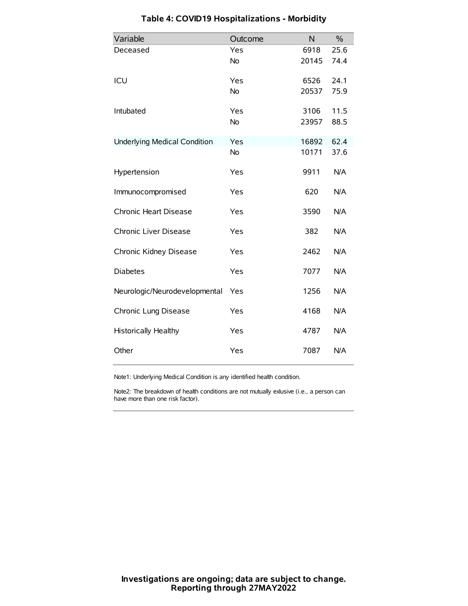| Variable                            | Outcome   | N     | $\frac{0}{0}$ |
|-------------------------------------|-----------|-------|---------------|
| Deceased                            | Yes       | 6918  | 25.6          |
|                                     | <b>No</b> | 20145 | 74.4          |
| ICU                                 | Yes       | 6526  | 24.1          |
|                                     | <b>No</b> | 20537 | 75.9          |
| Intubated                           | Yes       | 3106  | 11.5          |
|                                     | <b>No</b> | 23957 | 88.5          |
| <b>Underlying Medical Condition</b> | Yes       | 16892 | 62.4          |
|                                     | No        | 10171 | 37.6          |
| Hypertension                        | Yes       | 9911  | N/A           |
| Immunocompromised                   | Yes       | 620   | N/A           |
| Chronic Heart Disease               | Yes       | 3590  | N/A           |
| Chronic Liver Disease               | Yes       | 382   | N/A           |
| Chronic Kidney Disease              | Yes       | 2462  | N/A           |
| <b>Diabetes</b>                     | Yes       | 7077  | N/A           |
| Neurologic/Neurodevelopmental       | Yes       | 1256  | N/A           |
| Chronic Lung Disease                | Yes       | 4168  | N/A           |
| Historically Healthy                | Yes       | 4787  | N/A           |
| Other                               | Yes       | 7087  | N/A           |

# **Table 4: COVID19 Hospitalizations - Morbidity**

Note1: Underlying Medical Condition is any identified health condition.

Note2: The breakdown of health conditions are not mutually exlusive (i.e., a person can have more than one risk factor).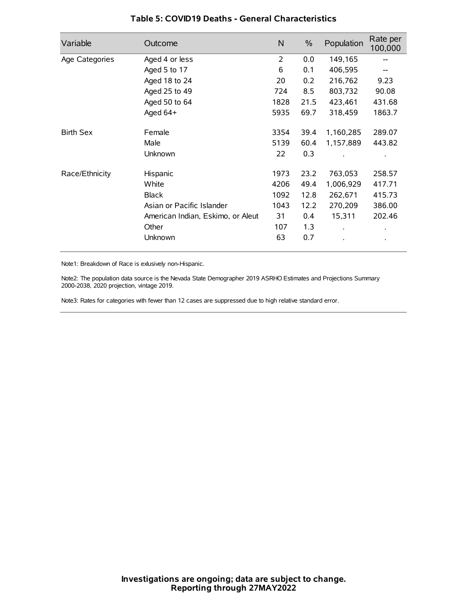| Variable         | Outcome                           | N    | $\%$ | Population           | Rate per<br>100,000 |
|------------------|-----------------------------------|------|------|----------------------|---------------------|
| Age Categories   | Aged 4 or less                    | 2    | 0.0  | 149,165              |                     |
|                  | Aged 5 to 17                      | 6    | 0.1  | 406,595              |                     |
|                  | Aged 18 to 24                     | 20   | 0.2  | 216,762              | 9.23                |
|                  | Aged 25 to 49                     | 724  | 8.5  | 803,732              | 90.08               |
|                  | Aged 50 to 64                     | 1828 | 21.5 | 423,461              | 431.68              |
|                  | Aged 64+                          | 5935 | 69.7 | 318,459              | 1863.7              |
| <b>Birth Sex</b> | Female                            | 3354 | 39.4 | 1,160,285            | 289.07              |
|                  | Male                              | 5139 | 60.4 | 1,157,889            | 443.82              |
|                  | Unknown                           | 22   | 0.3  |                      |                     |
| Race/Ethnicity   | Hispanic                          | 1973 | 23.2 | 763,053              | 258.57              |
|                  | White                             | 4206 | 49.4 | 1,006,929            | 417.71              |
|                  | <b>Black</b>                      | 1092 | 12.8 | 262,671              | 415.73              |
|                  | Asian or Pacific Islander         | 1043 | 12.2 | 270,209              | 386.00              |
|                  | American Indian, Eskimo, or Aleut | 31   | 0.4  | 15,311               | 202.46              |
|                  | Other                             | 107  | 1.3  | $\ddot{\phantom{0}}$ | $\bullet$           |
|                  | Unknown                           | 63   | 0.7  |                      | $\bullet$           |

### **Table 5: COVID19 Deaths - General Characteristics**

Note1: Breakdown of Race is exlusively non-Hispanic.

Note2: The population data source is the Nevada State Demographer 2019 ASRHO Estimates and Projections Summary 2000-2038, 2020 projection, vintage 2019.

Note3: Rates for categories with fewer than 12 cases are suppressed due to high relative standard error.